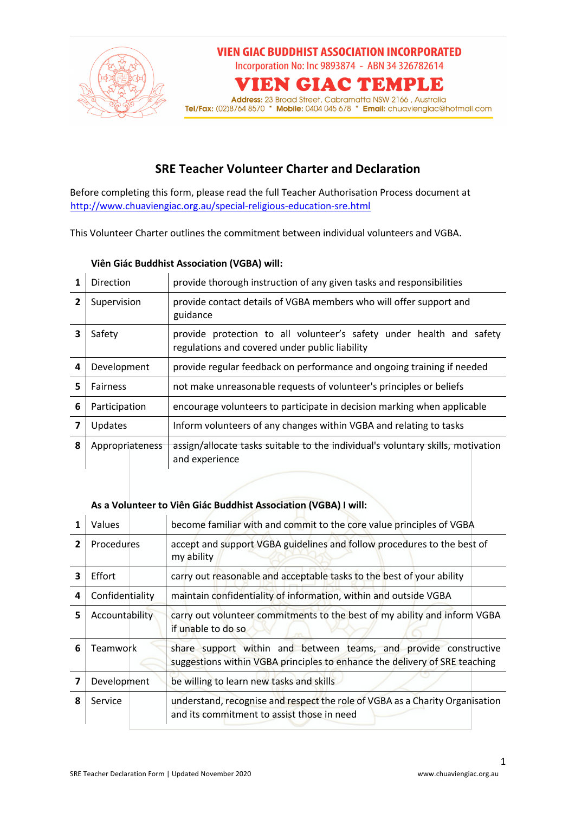

## **SRE Teacher Volunteer Charter and Declaration**

Before completing this form, please read the full Teacher Authorisation Process document at http://www.chuaviengiac.org.au/special-religious-education-sre.html

This Volunteer Charter outlines the commitment between individual volunteers and VGBA.

|   | Direction       |  | provide thorough instruction of any given tasks and responsibilities                                                   |  |  |  |  |
|---|-----------------|--|------------------------------------------------------------------------------------------------------------------------|--|--|--|--|
| 2 | Supervision     |  | provide contact details of VGBA members who will offer support and<br>guidance                                         |  |  |  |  |
| 3 | Safety          |  | provide protection to all volunteer's safety under health and safety<br>regulations and covered under public liability |  |  |  |  |
| 4 | Development     |  | provide regular feedback on performance and ongoing training if needed                                                 |  |  |  |  |
| 5 | <b>Fairness</b> |  | not make unreasonable requests of volunteer's principles or beliefs                                                    |  |  |  |  |
| 6 | Participation   |  | encourage volunteers to participate in decision marking when applicable                                                |  |  |  |  |
|   | Updates         |  | Inform volunteers of any changes within VGBA and relating to tasks                                                     |  |  |  |  |
| 8 | Appropriateness |  | assign/allocate tasks suitable to the individual's voluntary skills, motivation<br>and experience                      |  |  |  |  |

## **Viên Giác Buddhist Association (VGBA) will:**

## **As a Volunteer to Viên Giác Buddhist Association (VGBA) I will:**

|   | Values            | become familiar with and commit to the core value principles of VGBA                                                                           |
|---|-------------------|------------------------------------------------------------------------------------------------------------------------------------------------|
| 2 | <b>Procedures</b> | accept and support VGBA guidelines and follow procedures to the best of<br>my ability                                                          |
| 3 | <b>Effort</b>     | carry out reasonable and acceptable tasks to the best of your ability                                                                          |
| 4 | Confidentiality   | maintain confidentiality of information, within and outside VGBA                                                                               |
| 5 | Accountability    | carry out volunteer commitments to the best of my ability and inform VGBA<br>if unable to do so                                                |
| 6 | Teamwork          | share support within and between teams, and provide constructive<br>suggestions within VGBA principles to enhance the delivery of SRE teaching |
|   | Development       | be willing to learn new tasks and skills                                                                                                       |
| 8 | Service           | understand, recognise and respect the role of VGBA as a Charity Organisation<br>and its commitment to assist those in need                     |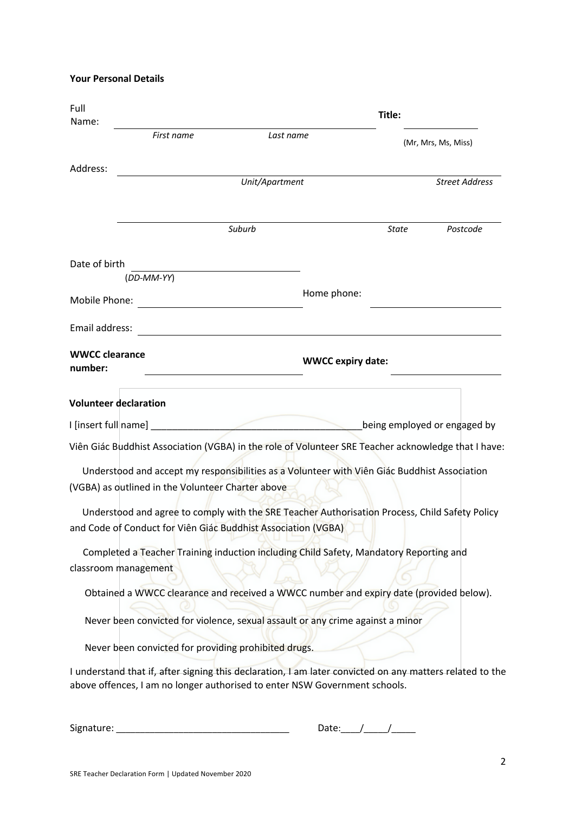**Your Personal Details**

| Full<br>Name:                    | Title:                                               |                                                                                                                                                                                        |            |                              |  |  |
|----------------------------------|------------------------------------------------------|----------------------------------------------------------------------------------------------------------------------------------------------------------------------------------------|------------|------------------------------|--|--|
|                                  | First name                                           | Last name                                                                                                                                                                              |            | (Mr, Mrs, Ms, Miss)          |  |  |
| Address:                         |                                                      | Unit/Apartment                                                                                                                                                                         |            | <b>Street Address</b>        |  |  |
|                                  |                                                      |                                                                                                                                                                                        |            |                              |  |  |
|                                  |                                                      | Suburb                                                                                                                                                                                 | State      | Postcode                     |  |  |
| Date of birth                    | (DD-MM-YY)                                           |                                                                                                                                                                                        |            |                              |  |  |
| Mobile Phone:                    |                                                      | Home phone:                                                                                                                                                                            |            |                              |  |  |
| Email address:                   |                                                      |                                                                                                                                                                                        |            |                              |  |  |
| <b>WWCC clearance</b><br>number: |                                                      | <b>WWCC expiry date:</b>                                                                                                                                                               |            |                              |  |  |
|                                  | <b>Volunteer declaration</b>                         |                                                                                                                                                                                        |            |                              |  |  |
|                                  |                                                      |                                                                                                                                                                                        |            | being employed or engaged by |  |  |
|                                  |                                                      | Viên Giác Buddhist Association (VGBA) in the role of Volunteer SRE Teacher acknowledge that I have:                                                                                    |            |                              |  |  |
|                                  | (VGBA) as outlined in the Volunteer Charter above    | Understood and accept my responsibilities as a Volunteer with Viên Giác Buddhist Association                                                                                           |            |                              |  |  |
|                                  |                                                      | Understood and agree to comply with the SRE Teacher Authorisation Process, Child Safety Policy<br>and Code of Conduct for Viên Giác Buddhist Association (VGBA)                        |            |                              |  |  |
|                                  | classroom management                                 | Completed a Teacher Training induction including Child Safety, Mandatory Reporting and                                                                                                 |            |                              |  |  |
|                                  |                                                      | Obtained a WWCC clearance and received a WWCC number and expiry date (provided below).                                                                                                 |            |                              |  |  |
|                                  |                                                      | Never been convicted for violence, sexual assault or any crime against a minor                                                                                                         |            |                              |  |  |
|                                  | Never been convicted for providing prohibited drugs. |                                                                                                                                                                                        |            |                              |  |  |
|                                  |                                                      | I understand that if, after signing this declaration, I am later convicted on any matters related to the<br>above offences, I am no longer authorised to enter NSW Government schools. |            |                              |  |  |
|                                  |                                                      |                                                                                                                                                                                        | Date: $1/$ |                              |  |  |